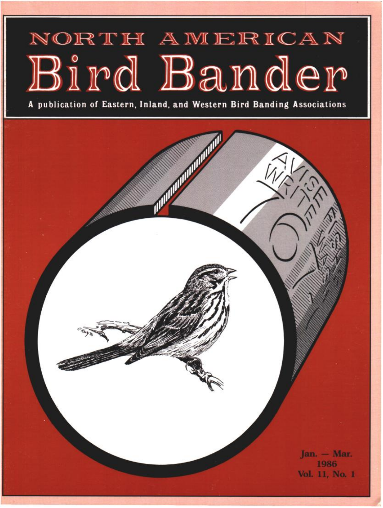## NORTH AMERICAN Bird Bander

**A publication of Eastern, Inland, and Western Bird Banding Associations** 

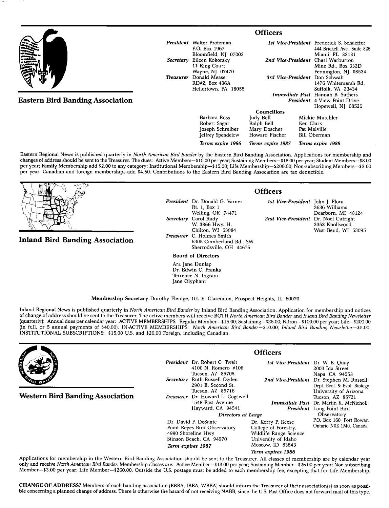|                                         | <b>Officers</b>  |                                    |                                         |                              |                                                  |  |
|-----------------------------------------|------------------|------------------------------------|-----------------------------------------|------------------------------|--------------------------------------------------|--|
|                                         |                  | <b>President</b> Walter Protzman   |                                         |                              | <b>1st Vice-President</b> Frederick S. Schaeffer |  |
|                                         |                  | P.O. Box 1967                      |                                         |                              | 444 Brickell Ave., Suite 825                     |  |
|                                         |                  | Bloomfield, NJ 07003               |                                         |                              | Miami, FL 33131                                  |  |
|                                         | Secretary        | Eileen Kokorsky                    |                                         |                              | 2nd Vice-President Charl Warburton               |  |
|                                         |                  | 11 King Court                      |                                         |                              | Mine Rd., Box 332D                               |  |
|                                         |                  | Wayne, NJ 07470                    |                                         |                              | Pennington, NJ 08534                             |  |
|                                         | <b>Treasurer</b> | Donald Mease<br>3rd Vice-President |                                         |                              | Don Schwab                                       |  |
|                                         |                  | RD#2, Box 436A                     |                                         |                              | 1476 Whitemarsh Rd.                              |  |
|                                         |                  | Hellertown, PA 18055               |                                         |                              | Suffolk, VA 23434                                |  |
|                                         |                  |                                    | <b>Immediate Past</b> Hannah B. Suthers |                              |                                                  |  |
| <b>Eastern Bird Banding Association</b> |                  |                                    |                                         |                              | <b>President</b> 4 View Point Drive              |  |
|                                         |                  |                                    |                                         |                              | Hopewell, NJ 08525                               |  |
|                                         |                  |                                    | <b>Councillors</b>                      |                              |                                                  |  |
|                                         |                  | Barbara Ross                       | Judy Bell                               |                              | Mickie Mutchler                                  |  |
|                                         |                  | Robert Sagar                       | Ralph Bell                              | Ken Clark                    |                                                  |  |
|                                         |                  | Joseph Schreiber                   | Mary Doscher                            | Pat Melville<br>Bill Oberman |                                                  |  |
|                                         |                  | <b>Jeffrey Spendelow</b>           | Howard Fischer                          |                              |                                                  |  |

**Eastern Regional News is published quarterly in North American Bird Bander by the Eastern Bird Banding Association. Applications for membership and**  changes of address should be sent to the Treasurer. The dues: Active Members-\$10.00 per year; Sustaining Members--\$18.00 per year; Student Members--\$8.00 **per year; Family Membership add \$2.00 to any category; Institutional Membership--\$15.00; Life Membership--S200.00; Non-subscribing Members--S3.00 per year. Canadian and foreign memberships add \$4.50. Contributions to the Eastern Bird Banding Association are tax deductible.** 

**Inland Bird Banding Association** 

**President Dr. Donald G. Varner Rt. 1, Box 1 Welling, OK 74471 Secretary Carol Rudy W. 3866 Hwy. H. Chilton, WI 53084 Treasurer C. Holmes Smith 6305 Cumberland Rd., SW Sherrodsville, OH 44675** 

**Jeffrey Spendelow Terms expire 1986** 

**Board of Directors** 

**Ara Jane Dunlap Dr. Edwin C. Franks Terrence N. Ingram Jane Olyphant** 

**Officers** 

**Terms expire 1987** 

**1st Vice-President John J. Flora 3636 Williams Dearborn, MI 48124**  2nd Vice-President Dr. Noel Cutright **3352 Knollwood West Bend, WI 53095** 

**Terms expire 1988** 

**Membership Secretary Dorothy Flentge, 101 E. Clarendon, Prospect Heights, IL 60070** 

**Inland Regional News is published quarterly in North American Bird Bander by Inland Bird Banding Association. Application for membership and notices**  of change of address should be sent to the Treasurer. The active members will receive BOTH North American Bird Bander and Inland Bird Banding Newsletter **(quarterly}: Annual dues per calendar year: ACTIVE MEMBERSHIPS: Regular Member--\$15.00; Sustaining--S25.00; Patron--\$100.00 per year; Life--S200.00**  (in full, or 5 annual payments of \$40.00). IN-ACTIVE MEMBERSHIPS: North American Bird Bander-\$10.00; Inland Bird Banding Newsletter-\$5.00. **INSTITUTIONAL SUBSCRIPTIONS: \$15.00 U.S. and \$20.00 Foreign, including Canadian.** 

|                                                                                                                                                      | <b>Officers</b>                                                                                                                                  |                                                                                     |                                                                                                                |                                                                                                                                |  |
|------------------------------------------------------------------------------------------------------------------------------------------------------|--------------------------------------------------------------------------------------------------------------------------------------------------|-------------------------------------------------------------------------------------|----------------------------------------------------------------------------------------------------------------|--------------------------------------------------------------------------------------------------------------------------------|--|
|                                                                                                                                                      |                                                                                                                                                  | <b>President</b> Dr. Robert C. Tweit<br>4100 N. Romero, #108                        | 1st Vice-President Dr. W. B. Quay                                                                              | 2003 Ida Street                                                                                                                |  |
|                                                                                                                                                      | Secretary                                                                                                                                        | Tucson, AZ 85705<br>Ruth Russell Ogden<br>2901 E. Second St.                        |                                                                                                                | Napa, CA 94558<br>2nd Vice-President Dr. Stephen M. Russell<br>Dept. Ecol. & Evol. Biology                                     |  |
| <b>Western Bird Banding Association</b>                                                                                                              | <b>Treasurer</b>                                                                                                                                 | Tucson, AZ 85716<br>Dr. Howard L. Cogswell<br>1548 East Avenue<br>Hayward, CA 94541 |                                                                                                                | University of Arizona<br>Tucson, AZ 85721<br><b>Immediate Past</b> Dr. Martin K. McNicholl<br><b>President</b> Long Point Bird |  |
|                                                                                                                                                      |                                                                                                                                                  | Observatory                                                                         |                                                                                                                |                                                                                                                                |  |
|                                                                                                                                                      | Directors at Large<br>Dr. David F. DeSante<br>Point Reyes Bird Observatory<br>4990 Shoreline Hwy<br>Stinson Beach, CA 94970<br>Term expires 1987 |                                                                                     | Dr. Kerry P. Reese<br>College of Forestry,<br>Wildlife Range Science<br>University of Idaho<br>Moscow ID 83843 | P.O. Box 160, Port Rowan<br>Ontario N0E 1M0, Canada                                                                            |  |
|                                                                                                                                                      |                                                                                                                                                  |                                                                                     | Term expires 1986                                                                                              |                                                                                                                                |  |
| Applications for membership in the Western Bird Banding Association should be sent to the Treasurer. All classes of membership are by calendar year. |                                                                                                                                                  |                                                                                     |                                                                                                                |                                                                                                                                |  |

Applications for membership in the Western Bird Banding Association should be sent to the Treasurer. All classes of membership are by calendar year **only and receive North American Bird Bander. Membership classes are: Active Member--\$13.00 per year; Sustaining Member--S26.00 per year; Non-subscribing Member--S3.00 per year; Life Member--S260.00. Outside the U.S. postage must be added to each membership fee, excepting that for Life Membership.** 

**CHANGE OF ADDRESS? Members of each banding association (EBB& IBBA, WBBA} should inform the Treasurer of their association(s} as soon as possi**ble concerning a planned change of address. There is otherwise the hazard of not receiving NABB, since the U.S. Post Office does not forward mail of this type.